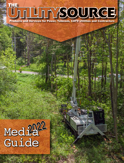# THE YSOURGE Products and Services for Power, Telecom, CATV Utilities and Contractors

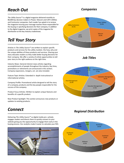## *Reach Out*

*Companies*

*The Utility Source™* is a digital magazine delivered monthly to 80,000 key decision makers in Power, Telecom and CATV Utilities and Contractor companies. Each reader has opted-in to recieve the magazine insuring your message reaches those responsible for the buying or specifying decisions for their company. In addition to the digital magazine, we print copies of the magazine for distribution at the key industry tradeshows.

## *Tell Your Story*

Articles in *The Utility Source™* are written to explain specific products and services for the utility markets- the how, why and the unique abilities of these products and services. Sharing your story educates readers so they make better buying decisions for their company. We offer a variety of article opportunities to tell your story to the right audience at the right time.

Industry News: General interest news articles regarding accomplishments of people throughout the industry. Key hires, promotions or retirements are announced in this section. Company expansions, mergers, ect. are also included.

Feature Topic Articles: Extended in- depth instructional or informational articles.

Company Profile: Promotional article designed to tell the story of a company, products and the key people responsible for the success of the company.

Product Focus Articles: Written to explain unique features and benefits of a specific product.

New Product Spotlight: This section announces new products or updates to existing products.

### *Connect*

Delivering *The Utility Source™* as digital media pro- actively engages readers and directs them to quickly connect to your website giving you the oppourtunity to engage them early in the buying process. Our analytics make it easier to calculate your ROI.





#### *Job Titles*



#### *Regional Distribution*

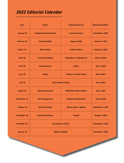## *2022 Editorial Calendar*

| Issue:               | <b>Topics:</b>                  | <b>Product Showcase:</b>               | <b>Materials Deadline:</b> |
|----------------------|---------------------------------|----------------------------------------|----------------------------|
| January '22          | <b>Underground Construction</b> | <b>Truck Accessories</b>               | December 4, 2021           |
| <b>February '22</b>  | <b>Tools &amp; Supplies</b>     | <b>Augers &amp; Drills</b>             | <b>January 7, 2022</b>     |
| March '22            | <b>Wire &amp; Cable</b>         | <b>Safety Products</b>                 | February 4, 2022           |
| April '22            | <b>Computer Software</b>        | <b>Substations . Underground</b>       | <b>March 4, 2022</b>       |
| <b>May '22</b>       | <b>Test &amp; Measure</b>       | <b>Trailers</b>                        | <b>April 1, 2022</b>       |
| June '22             | <b>Safety</b>                   | <b>Testing . Trucks &amp; Trailers</b> | May 6, 2022                |
| July '22             | <b>Annual Buyer's Guide</b>     | <b>June 3,2022</b>                     |                            |
| <b>August '22</b>    | <b>Vehicle Accessories</b>      | <b>Off Road &amp; Utility Vehicles</b> | <b>July 1, 2022</b>        |
| <b>September '22</b> | <b>Fleet Management</b>         | <b>Buckets &amp; Attachments</b>       | <b>July 29, 2022</b>       |
| October '22          | <b>Security &amp; Safety</b>    | Wire & Cable . Lighting                | September 2, 2022          |
|                      |                                 |                                        | <b>October 7, 2022</b>     |
| November '22         | <b>Solar &amp; Wind Power</b>   | <b>Conduit</b>                         |                            |
| December '22         |                                 | <b>Top Products of 2021</b>            | <b>November 4, 2022</b>    |